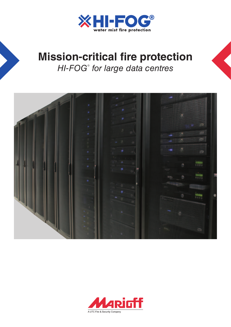

### **Mission-critical fire protection** *HI-FOG® for large data centres*



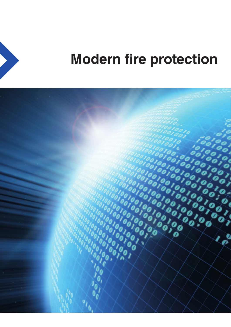## **Modern fire protection**

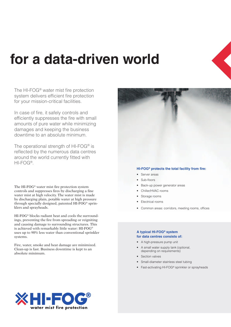### for a data-driven world

The HI-FOG® water mist fire protection system delivers efficient fire protection for your mission-critical facilities.

In case of fire, it safely controls and efficiently suppresses the fire with small amounts of pure water while minimizing damages and keeping the business downtime to an absolute minimum.

The operational strength of HI-FOG® is reflected by the numerous data centres around the world currently fitted with HI-FOG®.

The HI-FOG® water mist fire protection system controls and suppresses fires by discharging a fine water mist at high velocity. The water mist is made by discharging plain, potable water at high pressure through specially designed, patented HI-FOG® sprinklers and sprayheads.

HI-FOG® blocks radiant heat and cools the surroundings, preventing the fire from spreading or reigniting and causing damage to surrounding structures. This is achieved with remarkably little water: HI-FOG® uses up to 90% less water than conventional sprinkler systems.

Fire, water, smoke and heat damage are minimized. Clean-up is fast. Business downtime is kept to an absolute minimum.



#### **HI-FOG® protects the total facility from fire:**

- Server areas
- Sub-floors
- Back-up power generator areas
- • Chiller/HVAC rooms
- Storage rooms
- • Electrical rooms
- Common areas: corridors, meeting rooms, offices

#### **A typical HI-FOG® system for data centres consists of:**

- • A high-pressure pump unit
- A small water supply tank (optional, depending on requirements)
- Section valves
- Small-diameter stainless steel tubing
- Fast-activating HI-FOG<sup>®</sup> sprinkler or sprayheads

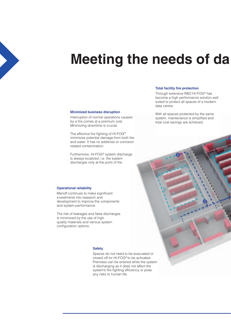# **Meeting the needs of da**

### **Minimized business disruption**

Interruption of normal operations caused by a fire comes at a premium cost. Minimizing downtime is crucial.

The effective fire fighting of HI-FOG® minimizes potential damage from both fire and water. It has no additives or corrosion related contamination.

Furthermore, HI-FOG® system discharge is always localized, i.e. the system discharges only at the point of fire.

#### **Operational reliability**

Marioff continues to make significant investments into research and development to improve the components and system performance.

The risk of leakages and false discharges is minimized by the use of high quality materials and various system configuration options.

#### **Safety**

Spaces do not need to be evacuated or closed off for HI-FOG® to be activated. Premises can be entered while the system is discharging as it does not affect the system's fire fighting efficiency or pose any risks to human life.

#### **Total facility fire protection**

Through extensive R&D HI-FOG® has become a high performance solution well suited to protect all spaces of a modern data centre.

With all spaces protected by the same system, maintenance is simplified and total cost savings are achieved.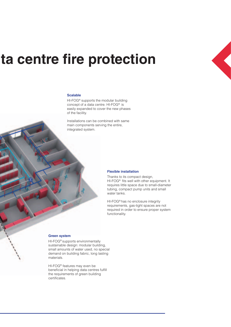### ta centre fire protection

#### **Scalable**

HI-FOG® supports the modular building concept of a data centre. HI-FOG® is easily expanded to cover the new phases of the facility.

Installations can be combined with same main components serving the entire, integrated system.

#### **Flexible installation**

Thanks to its compact design, HI-FOG® fits well with other equipment. It requires little space due to small-diameter tubing, compact pump units and small water tanks.

HI-FOG® has no enclosure integrity requirements, gas-tight spaces are not required in order to ensure proper system functionality.

#### **Green system**

HI-FOG® supports environmentally sustainable design: modular building, small amounts of water used, no special demand on building fabric, long lasting materials.

HI-FOG® features may even be beneficial in helping data centres fulfill the requirements of green building certificates.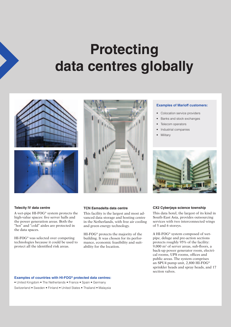## **Protecting data centres globally**





#### **Examples of Marioff customers:**

- Colocation service providers
- • Banks and stock exchanges
- Telecom operators
- Industrial companies
- **Military**



#### **Telecity IV data centre**

A wet-pipe HI-FOG® system protects the high-value spaces: five server halls and the power generation areas. Both the "hot" and "cold" aisles are protected in the data spaces.

HI-FOG® was selected over competing technologies because it could be used to protect all the identified risk areas.

#### **TCN Eemsdelta data centre**

This facility is the largest and most advanced data storage and hosting centre in the Netherlands, with free air cooling and green energy technology.

HI-FOG® protects the majority of the building. It was chosen for its performance, economic feasibility and suitability for the location.

#### **CX2 Cyberjaya science township**

This data hotel, the largest of its kind in South-East Asia, provides outsourcing services with two interconnected wings of 5 and 6 storeys.

A HI-FOG® system composed of wetpipe, deluge and pre-action sections protects roughly 95% of the facility: 9,000 m2 of server areas, sub-floors, a back-up power generator room, electrical rooms, UPS rooms, offices and public areas. The system comprises an SPU4 pump unit, 2,800 HI-FOG® sprinkler heads and spray heads, and 17 section valves.

#### **Examples of countries with HI-FOG® protected data centres:**

• United Kingdom • The Netherlands • France • Spain • Germany

Switzerland • Sweden • Finland • United States • Thailand • Malaysia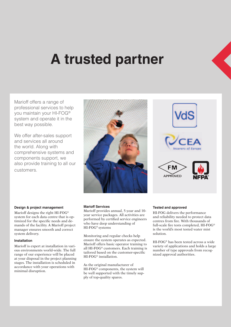### **A trusted partner**

Marioff offers a range of professional services to help you maintain your HI-FOG® system and operate it in the best way possible.

We offer after-sales support and services all around the world. Along with comprehensive systems and components support, we also provide training to all our customers.





#### **Design & project management**

Marioff designs the right HI-FOG® system for each data centre that is optimized for the specific needs and demands of the facility. A Marioff project manager ensures smooth and correct system delivery.

#### **Installation**

Marioff is expert at installation in various environments world-wide. The full range of our experience will be placed at your disposal in the project planning stages. The installation is scheduled in accordance with your operations with minimal disruption.

#### **Marioff Services**

Marioff provides annual, 5-year and 10 year service packages. All activities are performed by certified service engineers who have deep understanding of HI-FOG® systems

Monitoring and regular checks help ensure the system operates as expected. Marioff offers basic operator training to all HI-FOG® customers. Each training is tailored based on the customer-specific HI-FOG® installation.

As the original manufacturer of HI-FOG® components, the system will be well supported with the timely supply of top-quality spares.

#### **Tested and approved**

HI-FOG delivers the performance and reliability needed to protect data centres from fire. With thousands of full-scale fire tests completed, HI-FOG® is the world's most tested water mist solution.

HI-FOG® has been tested across a wide variety of applications and holds a large number of type approvals from recognized approval authorities.